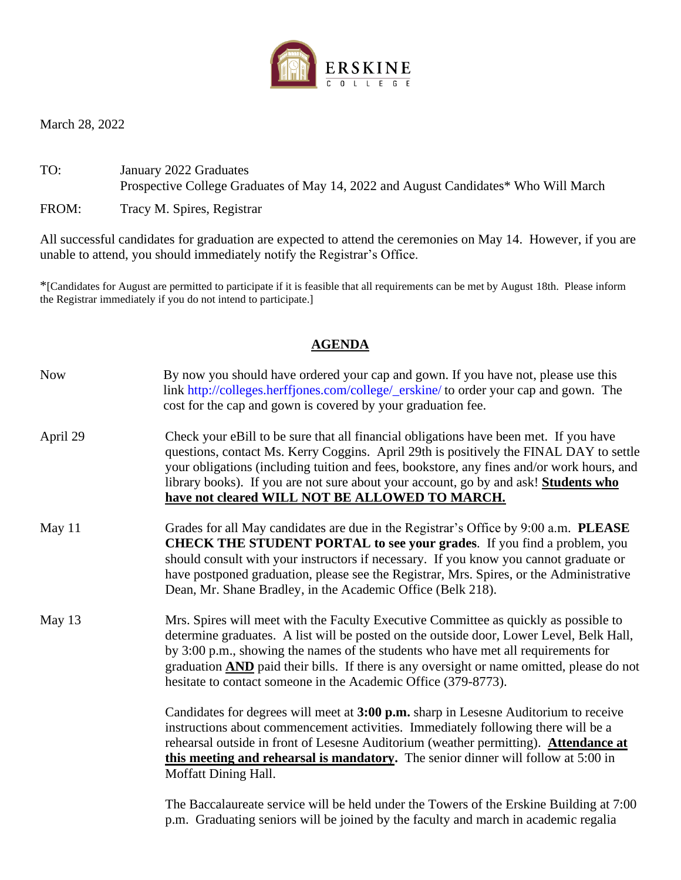

March 28, 2022

TO: January 2022 Graduates Prospective College Graduates of May 14, 2022 and August Candidates\* Who Will March

FROM: Tracy M. Spires, Registrar

All successful candidates for graduation are expected to attend the ceremonies on May 14. However, if you are unable to attend, you should immediately notify the Registrar's Office.

\*[Candidates for August are permitted to participate if it is feasible that all requirements can be met by August 18th. Please inform the Registrar immediately if you do not intend to participate.]

## **AGENDA**

| <b>Now</b> | By now you should have ordered your cap and gown. If you have not, please use this<br>link http://colleges.herffjones.com/college/_erskine/ to order your cap and gown. The<br>cost for the cap and gown is covered by your graduation fee.                                                                                                                                                                                                                                                                                                                                                                                                                                                                                                                                                                                  |
|------------|------------------------------------------------------------------------------------------------------------------------------------------------------------------------------------------------------------------------------------------------------------------------------------------------------------------------------------------------------------------------------------------------------------------------------------------------------------------------------------------------------------------------------------------------------------------------------------------------------------------------------------------------------------------------------------------------------------------------------------------------------------------------------------------------------------------------------|
| April 29   | Check your eBill to be sure that all financial obligations have been met. If you have<br>questions, contact Ms. Kerry Coggins. April 29th is positively the FINAL DAY to settle<br>your obligations (including tuition and fees, bookstore, any fines and/or work hours, and<br>library books). If you are not sure about your account, go by and ask! Students who<br>have not cleared WILL NOT BE ALLOWED TO MARCH.                                                                                                                                                                                                                                                                                                                                                                                                        |
| May $11$   | Grades for all May candidates are due in the Registrar's Office by 9:00 a.m. PLEASE<br><b>CHECK THE STUDENT PORTAL to see your grades.</b> If you find a problem, you<br>should consult with your instructors if necessary. If you know you cannot graduate or<br>have postponed graduation, please see the Registrar, Mrs. Spires, or the Administrative<br>Dean, Mr. Shane Bradley, in the Academic Office (Belk 218).                                                                                                                                                                                                                                                                                                                                                                                                     |
| May 13     | Mrs. Spires will meet with the Faculty Executive Committee as quickly as possible to<br>determine graduates. A list will be posted on the outside door, Lower Level, Belk Hall,<br>by 3:00 p.m., showing the names of the students who have met all requirements for<br>graduation <b>AND</b> paid their bills. If there is any oversight or name omitted, please do not<br>hesitate to contact someone in the Academic Office (379-8773).<br>Candidates for degrees will meet at 3:00 p.m. sharp in Lesesne Auditorium to receive<br>instructions about commencement activities. Immediately following there will be a<br>rehearsal outside in front of Lesesne Auditorium (weather permitting). Attendance at<br>this meeting and rehearsal is mandatory. The senior dinner will follow at 5:00 in<br>Moffatt Dining Hall. |

The Baccalaureate service will be held under the Towers of the Erskine Building at 7:00 p.m. Graduating seniors will be joined by the faculty and march in academic regalia